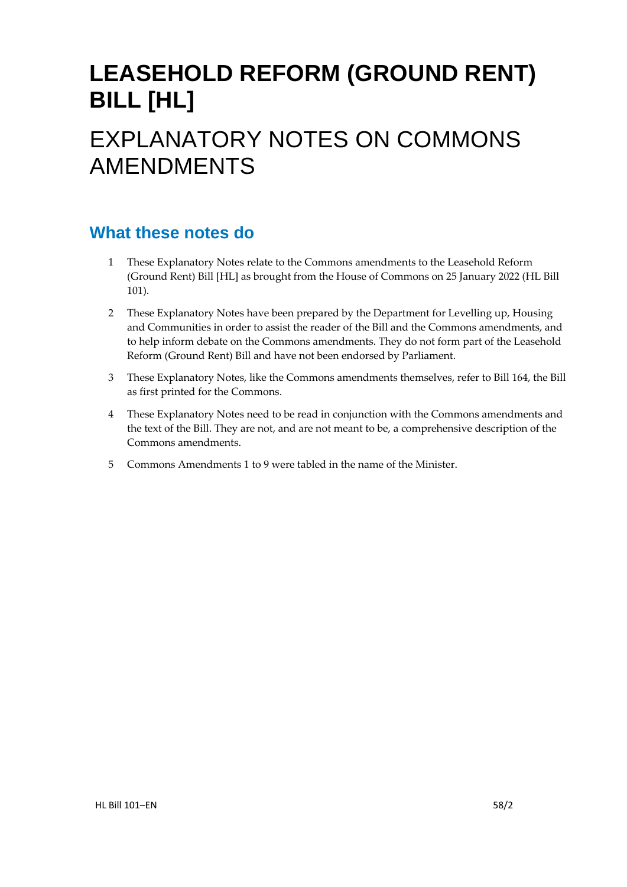# **LEASEHOLD REFORM (GROUND RENT) BILL [HL]**

# EXPLANATORY NOTES ON COMMONS AMENDMENTS

## **What these notes do**

- 1 These Explanatory Notes relate to the Commons amendments to the Leasehold Reform (Ground Rent) Bill [HL] as brought from the House of Commons on 25 January 2022 (HL Bill 101).
- 2 These Explanatory Notes have been prepared by the Department for Levelling up, Housing and Communities in order to assist the reader of the Bill and the Commons amendments, and to help inform debate on the Commons amendments. They do not form part of the Leasehold Reform (Ground Rent) Bill and have not been endorsed by Parliament.
- 3 These Explanatory Notes, like the Commons amendments themselves, refer to Bill 164, the Bill as first printed for the Commons.
- 4 These Explanatory Notes need to be read in conjunction with the Commons amendments and the text of the Bill. They are not, and are not meant to be, a comprehensive description of the Commons amendments.
- 5 Commons Amendments 1 to 9 were tabled in the name of the Minister.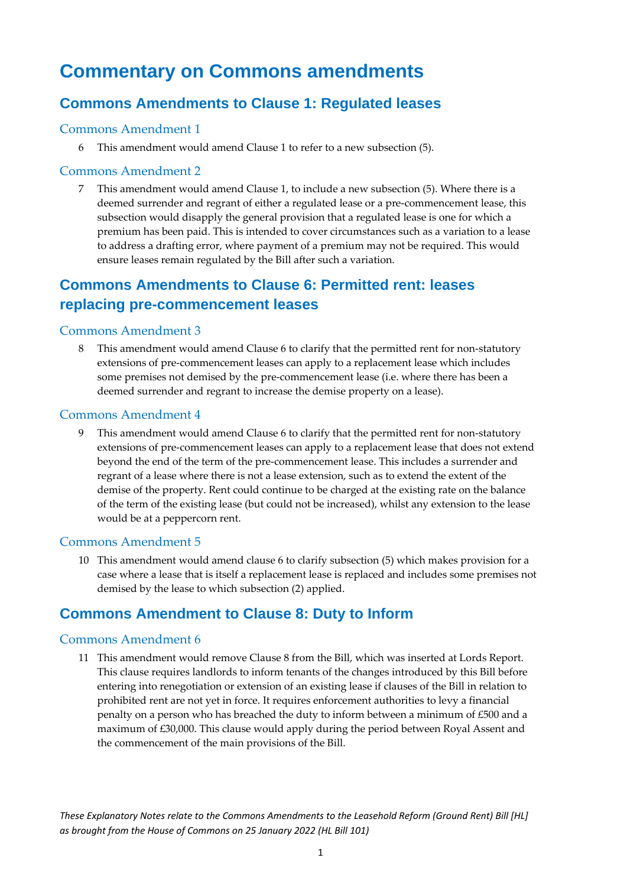## **Commentary on Commons amendments**

#### **Commons Amendments to Clause 1: Regulated leases**

#### Commons Amendment 1

6 This amendment would amend Clause 1 to refer to a new subsection (5).

#### Commons Amendment 2

7 This amendment would amend Clause 1, to include a new subsection (5). Where there is a deemed surrender and regrant of either a regulated lease or a pre-commencement lease, this subsection would disapply the general provision that a regulated lease is one for which a premium has been paid. This is intended to cover circumstances such as a variation to a lease to address a drafting error, where payment of a premium may not be required. This would ensure leases remain regulated by the Bill after such a variation.

#### **Commons Amendments to Clause 6: Permitted rent: leases replacing pre-commencement leases**

#### Commons Amendment 3

8 This amendment would amend Clause 6 to clarify that the permitted rent for non-statutory extensions of pre-commencement leases can apply to a replacement lease which includes some premises not demised by the pre-commencement lease (i.e. where there has been a deemed surrender and regrant to increase the demise property on a lease).

#### Commons Amendment 4

9 This amendment would amend Clause 6 to clarify that the permitted rent for non-statutory extensions of pre-commencement leases can apply to a replacement lease that does not extend beyond the end of the term of the pre-commencement lease. This includes a surrender and regrant of a lease where there is not a lease extension, such as to extend the extent of the demise of the property. Rent could continue to be charged at the existing rate on the balance of the term of the existing lease (but could not be increased), whilst any extension to the lease would be at a peppercorn rent.

#### Commons Amendment 5

10 This amendment would amend clause 6 to clarify subsection (5) which makes provision for a case where a lease that is itself a replacement lease is replaced and includes some premises not demised by the lease to which subsection (2) applied.

#### **Commons Amendment to Clause 8: Duty to Inform**

#### Commons Amendment 6

11 This amendment would remove Clause 8 from the Bill, which was inserted at Lords Report. This clause requires landlords to inform tenants of the changes introduced by this Bill before entering into renegotiation or extension of an existing lease if clauses of the Bill in relation to prohibited rent are not yet in force. It requires enforcement authorities to levy a financial penalty on a person who has breached the duty to inform between a minimum of £500 and a maximum of £30,000. This clause would apply during the period between Royal Assent and the commencement of the main provisions of the Bill.

*These Explanatory Notes relate to the Commons Amendments to the Leasehold Reform (Ground Rent) Bill [HL] as brought from the House of Commons on 25 January 2022 (HL Bill 101)*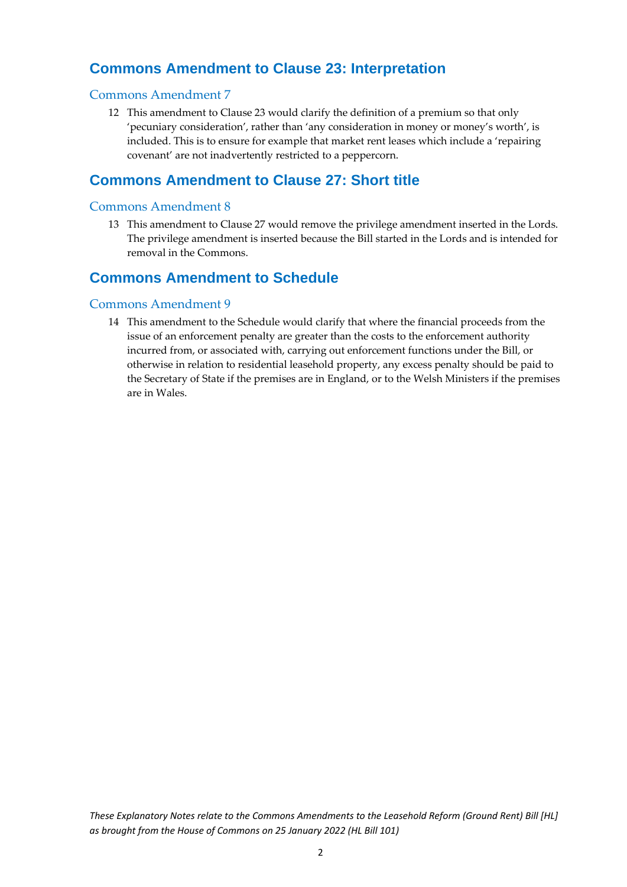### **Commons Amendment to Clause 23: Interpretation**

#### Commons Amendment 7

12 This amendment to Clause 23 would clarify the definition of a premium so that only 'pecuniary consideration', rather than 'any consideration in money or money's worth', is included. This is to ensure for example that market rent leases which include a 'repairing covenant' are not inadvertently restricted to a peppercorn.

#### **Commons Amendment to Clause 27: Short title**

#### Commons Amendment 8

13 This amendment to Clause 27 would remove the privilege amendment inserted in the Lords. The privilege amendment is inserted because the Bill started in the Lords and is intended for removal in the Commons.

#### **Commons Amendment to Schedule**

#### Commons Amendment 9

14 This amendment to the Schedule would clarify that where the financial proceeds from the issue of an enforcement penalty are greater than the costs to the enforcement authority incurred from, or associated with, carrying out enforcement functions under the Bill, or otherwise in relation to residential leasehold property, any excess penalty should be paid to the Secretary of State if the premises are in England, or to the Welsh Ministers if the premises are in Wales.